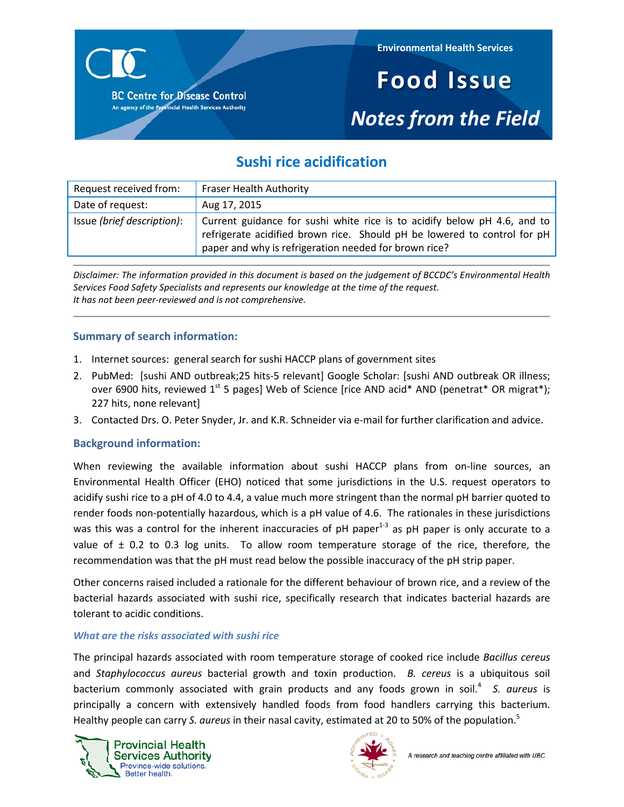

**Environmental Health Services**

# **Food Issue** *Notes from the Field*

## **Sushi rice acidification**

| Request received from:     | <b>Fraser Health Authority</b>                                                                                                                                                                                |
|----------------------------|---------------------------------------------------------------------------------------------------------------------------------------------------------------------------------------------------------------|
| Date of request:           | Aug 17, 2015                                                                                                                                                                                                  |
| Issue (brief description): | Current guidance for sushi white rice is to acidify below pH 4.6, and to<br>refrigerate acidified brown rice. Should pH be lowered to control for pH<br>paper and why is refrigeration needed for brown rice? |

*Disclaimer: The information provided in this document is based on the judgement of BCCDC's Environmental Health Services Food Safety Specialists and represents our knowledge at the time of the request. It has not been peer-reviewed and is not comprehensive.*

### **Summary of search information:**

- 1. Internet sources: general search for sushi HACCP plans of government sites
- 2. PubMed: [sushi AND outbreak; 25 hits-5 relevant] Google Scholar: [sushi AND outbreak OR illness; over 6900 hits, reviewed 1<sup>st</sup> 5 pages] Web of Science [rice AND acid\* AND (penetrat\* OR migrat\*); 227 hits, none relevant]
- 3. Contacted Drs. O. Peter Snyder, Jr. and K.R. Schneider via e-mail for further clarification and advice.

#### **Background information:**

When reviewing the available information about sushi HACCP plans from on-line sources, an Environmental Health Officer (EHO) noticed that some jurisdictions in the U.S. request operators to acidify sushi rice to a pH of 4.0 to 4.4, a value much more stringent than the normal pH barrier quoted to render foods non-potentially hazardous, which is a pH value of 4.6. The rationales in these jurisdictions was this was a control for the inherent inaccuracies of pH paper<sup>1-3</sup> as pH paper is only accurate to a value of  $\pm$  0.2 to 0.3 log units. To allow room temperature storage of the rice, therefore, the recommendation was that the pH must read below the possible inaccuracy of the pH strip paper.

Other concerns raised included a rationale for the different behaviour of brown rice, and a review of the bacterial hazards associated with sushi rice, specifically research that indicates bacterial hazards are tolerant to acidic conditions.

#### *What are the risks associated with sushi rice*

The principal hazards associated with room temperature storage of cooked rice include *Bacillus cereus*  and *Staphylococcus aureus* bacterial growth and toxin production. *B. cereus* is a ubiquitous soil bacterium commonly associated with grain products and any foods grown in soil.<sup>4</sup> S. aureus is principally a concern with extensively handled foods from food handlers carrying this bacterium. Healthy people can carry *S. aureus* in their nasal cavity, estimated at 20 to 50% of the population.<sup>5</sup>



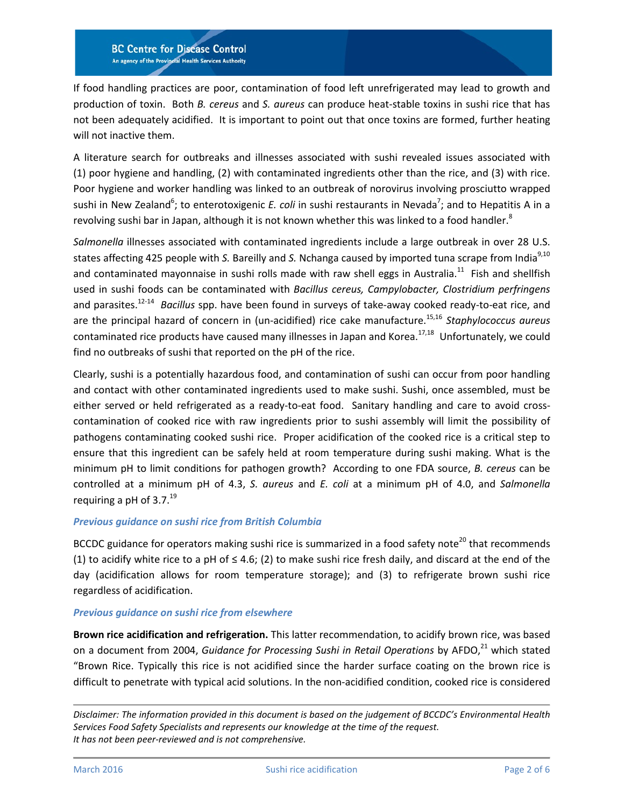**BC Centre for Disease Control** An agency of the Provincial Health Services Authority

If food handling practices are poor, contamination of food left unrefrigerated may lead to growth and production of toxin. Both *B. cereus* and *S. aureus* can produce heat-stable toxins in sushi rice that has not been adequately acidified. It is important to point out that once toxins are formed, further heating will not inactive them.

A literature search for outbreaks and illnesses associated with sushi revealed issues associated with (1) poor hygiene and handling, (2) with contaminated ingredients other than the rice, and (3) with rice. Poor hygiene and worker handling was linked to an outbreak of norovirus involving prosciutto wrapped sushi in New Zealand<sup>6</sup>; to enterotoxigenic *E. coli* in sushi restaurants in Nevada<sup>7</sup>; and to Hepatitis A in a revolving sushi bar in Japan, although it is not known whether this was linked to a food handler[.](#page-4-4)<sup>8</sup>

*Salmonella* illnesses associated with contaminated ingredients include a large outbreak in over 28 U.S. states affecting 425 people with *S.* Bareilly and *S.* Nchanga caused by imported tuna scrape from India<sup>[9,](#page-4-5)[10](#page-4-6)</sup> and contaminated mayonnaise in sushi rolls made with raw shell eggs in Australia.<sup>11</sup> Fish and shellfish used in sushi foods can be contaminated with *Bacillus cereus, Campylobacter, Clostridium perfringens*  and parasites[.12-14](#page-4-8) *Bacillus* spp. have been found in surveys of take-away cooked ready-to-eat rice, and are the principal hazard of concern in (un-acidified) rice cake manufacture[.15,](#page-4-9)[16](#page-5-0) *Staphylococcus aureus*  contaminated rice products have caused many illnesses in Japan and Korea.<sup>[17,](#page-5-1)18</sup> Unfortunately, we could find no outbreaks of sushi that reported on the pH of the rice.

Clearly, sushi is a potentially hazardous food, and contamination of sushi can occur from poor handling and contact with other contaminated ingredients used to make sushi. Sushi, once assembled, must be either served or held refrigerated as a ready-to-eat food. Sanitary handling and care to avoid crosscontamination of cooked rice with raw ingredients prior to sushi assembly will limit the possibility of pathogens contaminating cooked sushi rice. Proper acidification of the cooked rice is a critical step to ensure that this ingredient can be safely held at room temperature during sushi making. What is the minimum pH to limit conditions for pathogen growth? According to one FDA source, *B. cereus* can be controlled at a minimum pH of 4.3, *S. aureus* and *E. coli* at a minimum pH of 4.0, and *Salmonella*  requiring a pH of  $3.7.^{19}$ 

#### *Previous guidance on sushi rice from British Columbia*

BCCDC guidance for operators making sushi rice is summarized in a food safety note<sup>[20](#page-5-4)</sup> that recommends (1) to acidify white rice to a pH of  $\leq$  4.6; (2) to make sushi rice fresh daily, and discard at the end of the day (acidification allows for room temperature storage); and (3) to refrigerate brown sushi rice regardless of acidification.

#### *Previous guidance on sushi rice from elsewhere*

**Brown rice acidification and refrigeration.** This latter recommendation, to acidify brown rice, was based on a document from 2004, *Guidance for Processing Sushi in Retail Operations* by AFDO,<sup>[21](#page-5-5)</sup> which stated "Brown Rice. Typically this rice is not acidified since the harder surface coating on the brown rice is difficult to penetrate with typical acid solutions. In the non-acidified condition, cooked rice is considered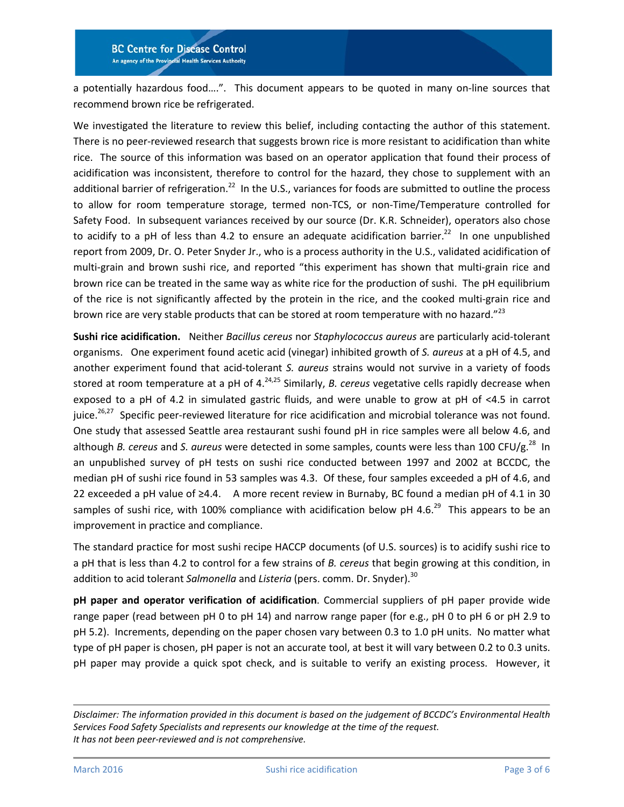#### **BC Centre for Disease Control** An agency of the Provincial Health Services Authority

a potentially hazardous food….". This document appears to be quoted in many on-line sources that recommend brown rice be refrigerated.

We investigated the literature to review this belief, including contacting the author of this statement. There is no peer-reviewed research that suggests brown rice is more resistant to acidification than white rice. The source of this information was based on an operator application that found their process of acidification was inconsistent, therefore to control for the hazard, they chose to supplement with an additional barrier of refrigeration.<sup>22</sup> In the U.S., variances for foods are submitted to outline the process to allow for room temperature storage, termed non-TCS, or non-Time/Temperature controlled for Safety Food. In subsequent variances received by our source (Dr. K.R. Schneider), operators also chose to acidify to a pH of less than 4.2 to ensure an adequate acidification barrier.<sup>22</sup> In one unpublished report from 2009, Dr. O. Peter Snyder Jr., who is a process authority in the U.S., validated acidification of multi-grain and brown sushi rice, and reported "this experiment has shown that multi-grain rice and brown rice can be treated in the same way as white rice for the production of sushi. The pH equilibrium of the rice is not significantly affected by the protein in the rice, and the cooked multi-grain rice and brown rice are very stable products that can be stored at room temperature with no hazard."<sup>[23](#page-5-7)</sup>

**Sushi rice acidification.** Neither *Bacillus cereus* nor *Staphylococcus aureus* are particularly acid-tolerant organisms. One experiment found acetic acid (vinegar) inhibited growth of *S. aureus* at a pH of 4.5, and another experiment found that acid-tolerant *S. aureus* strains would not survive in a variety of foods stored at room temperature at a pH of 4.<sup>24,[25](#page-5-9)</sup> Similarly, *B. cereus* vegetative cells rapidly decrease when exposed to a pH of 4.2 in simulated gastric fluids, and were unable to grow at pH of <4.5 in carrot juice.<sup>26,27</sup> Specific peer-reviewed literature for rice acidification and microbial tolerance was not found. One study that assessed Seattle area restaurant sushi found pH in rice samples were all below 4.6, and although *B. cereus* and *S. aureus* were detected in some samples, counts were less than 100 CFU/g. [28](#page-5-12) In an unpublished survey of pH tests on sushi rice conducted between 1997 and 2002 at BCCDC, the median pH of sushi rice found in 53 samples was 4.3. Of these, four samples exceeded a pH of 4.6, and 22 exceeded a pH value of ≥4.4. A more recent review in Burnaby, BC found a median pH of 4.1 in 30 samples of sushi rice, with 100% compliance with acidification below pH 4.6.<sup>[29](#page-5-13)</sup> This appears to be an improvement in practice and compliance.

The standard practice for most sushi recipe HACCP documents (of U.S. sources) is to acidify sushi rice to a pH that is less than 4.2 to control for a few strains of *B. cereus* that begin growing at this condition, in addition to acid tolerant *Salmonella* and *Listeria* (pers. comm. Dr. Snyder).<sup>30</sup>

**pH paper and operator verification of acidification**. Commercial suppliers of pH paper provide wide range paper (read between pH 0 to pH 14) and narrow range paper (for e.g., pH 0 to pH 6 or pH 2.9 to pH 5.2). Increments, depending on the paper chosen vary between 0.3 to 1.0 pH units. No matter what type of pH paper is chosen, pH paper is not an accurate tool, at best it will vary between 0.2 to 0.3 units. pH paper may provide a quick spot check, and is suitable to verify an existing process. However, it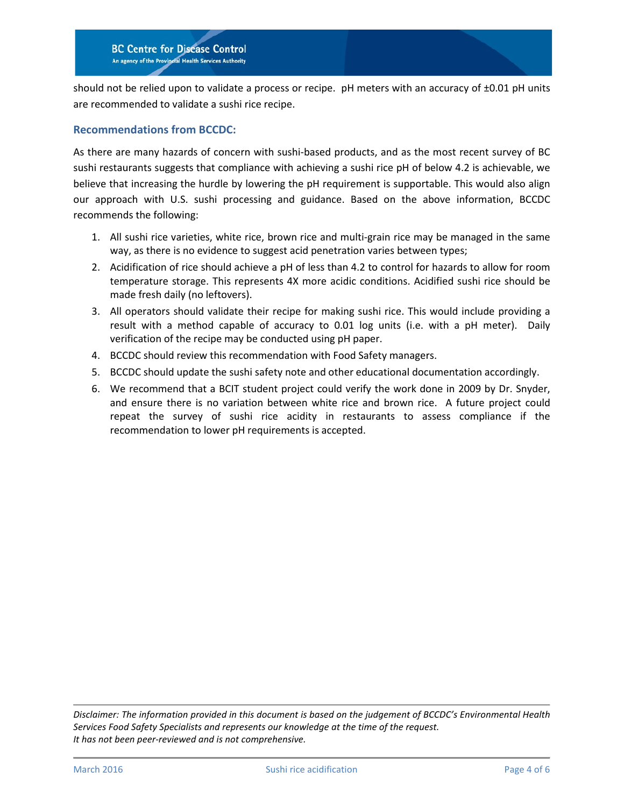should not be relied upon to validate a process or recipe. pH meters with an accuracy of ±0.01 pH units are recommended to validate a sushi rice recipe.

#### **Recommendations from BCCDC:**

As there are many hazards of concern with sushi-based products, and as the most recent survey of BC sushi restaurants suggests that compliance with achieving a sushi rice pH of below 4.2 is achievable, we believe that increasing the hurdle by lowering the pH requirement is supportable. This would also align our approach with U.S. sushi processing and guidance. Based on the above information, BCCDC recommends the following:

- 1. All sushi rice varieties, white rice, brown rice and multi-grain rice may be managed in the same way, as there is no evidence to suggest acid penetration varies between types;
- 2. Acidification of rice should achieve a pH of less than 4.2 to control for hazards to allow for room temperature storage. This represents 4X more acidic conditions. Acidified sushi rice should be made fresh daily (no leftovers).
- 3. All operators should validate their recipe for making sushi rice. This would include providing a result with a method capable of accuracy to 0.01 log units (i.e. with a pH meter). Daily verification of the recipe may be conducted using pH paper.
- 4. BCCDC should review this recommendation with Food Safety managers.
- 5. BCCDC should update the sushi safety note and other educational documentation accordingly.
- 6. We recommend that a BCIT student project could verify the work done in 2009 by Dr. Snyder, and ensure there is no variation between white rice and brown rice. A future project could repeat the survey of sushi rice acidity in restaurants to assess compliance if the recommendation to lower pH requirements is accepted.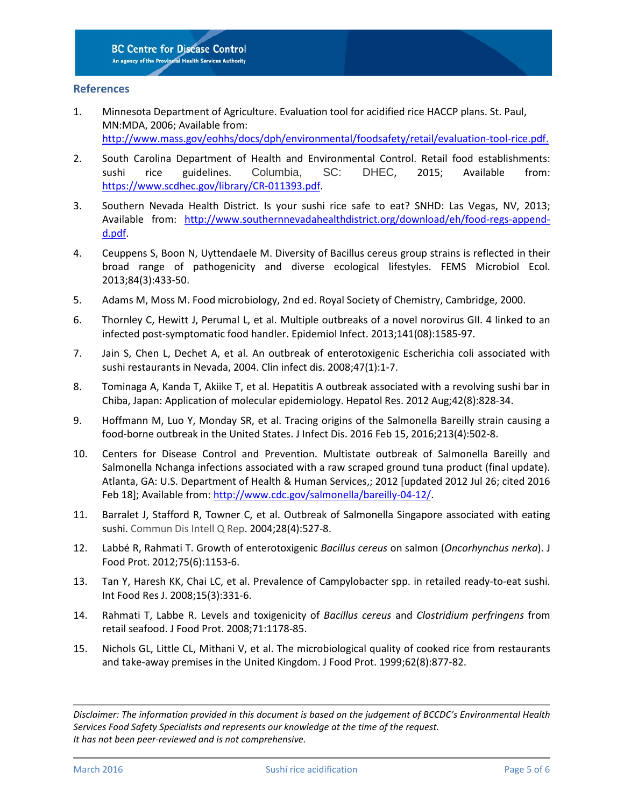#### **References**

- 1. Minnesota Department of Agriculture. Evaluation tool for acidified rice HACCP plans. St. Paul, MN:MDA, 2006; Available from: <http://www.mass.gov/eohhs/docs/dph/environmental/foodsafety/retail/evaluation-tool-rice.pdf.>
- 2. South Carolina Department of Health and Environmental Control. Retail food establishments: sushi rice guidelines. Columbia, SC: DHEC, 2015; Available from: [https://www.scdhec.gov/library/CR-011393.pdf.](https://www.scdhec.gov/library/CR-011393.pdf)
- 3. Southern Nevada Health District. Is your sushi rice safe to eat? SNHD: Las Vegas, NV, 2013; Available from: [http://www.southernnevadahealthdistrict.org/download/eh/food-regs-append](http://www.southernnevadahealthdistrict.org/download/eh/food-regs-append-d.pdf)[d.pdf.](http://www.southernnevadahealthdistrict.org/download/eh/food-regs-append-d.pdf)
- <span id="page-4-0"></span>4. Ceuppens S, Boon N, Uyttendaele M. Diversity of Bacillus cereus group strains is reflected in their broad range of pathogenicity and diverse ecological lifestyles. FEMS Microbiol Ecol. 2013;84(3):433-50.
- <span id="page-4-1"></span>5. Adams M, Moss M. Food microbiology, 2nd ed. Royal Society of Chemistry, Cambridge, 2000.
- <span id="page-4-2"></span>6. Thornley C, Hewitt J, Perumal L, et al. Multiple outbreaks of a novel norovirus GII. 4 linked to an infected post-symptomatic food handler. Epidemiol Infect. 2013;141(08):1585-97.
- <span id="page-4-3"></span>7. Jain S, Chen L, Dechet A, et al. An outbreak of enterotoxigenic Escherichia coli associated with sushi restaurants in Nevada, 2004. Clin infect dis. 2008;47(1):1-7.
- <span id="page-4-4"></span>8. Tominaga A, Kanda T, Akiike T, et al. Hepatitis A outbreak associated with a revolving sushi bar in Chiba, Japan: Application of molecular epidemiology. Hepatol Res. 2012 Aug;42(8):828-34.
- <span id="page-4-5"></span>9. Hoffmann M, Luo Y, Monday SR, et al. Tracing origins of the Salmonella Bareilly strain causing a food-borne outbreak in the United States. J Infect Dis. 2016 Feb 15, 2016;213(4):502-8.
- <span id="page-4-6"></span>10. Centers for Disease Control and Prevention. Multistate outbreak of Salmonella Bareilly and Salmonella Nchanga infections associated with a raw scraped ground tuna product (final update). Atlanta, GA: U.S. Department of Health & Human Services,; 2012 [updated 2012 Jul 26; cited 2016 Feb 18]; Available from[: http://www.cdc.gov/salmonella/bareilly-04-12/.](http://www.cdc.gov/salmonella/bareilly-04-12/)
- <span id="page-4-7"></span>11. Barralet J, Stafford R, Towner C, et al. Outbreak of Salmonella Singapore associated with eating sushi. Commun Dis Intell Q Rep. 2004;28(4):527-8.
- <span id="page-4-8"></span>12. Labbé R, Rahmati T. Growth of enterotoxigenic *Bacillus cereus* on salmon (*Oncorhynchus nerka*). J Food Prot. 2012;75(6):1153-6.
- 13. Tan Y, Haresh KK, Chai LC, et al. Prevalence of Campylobacter spp. in retailed ready-to-eat sushi. Int Food Res J. 2008;15(3):331-6.
- 14. Rahmati T, Labbe R. Levels and toxigenicity of *Bacillus cereus* and *Clostridium perfringens* from retail seafood. J Food Prot. 2008;71:1178-85.
- <span id="page-4-9"></span>15. Nichols GL, Little CL, Mithani V, et al. The microbiological quality of cooked rice from restaurants and take-away premises in the United Kingdom. J Food Prot. 1999;62(8):877-82.